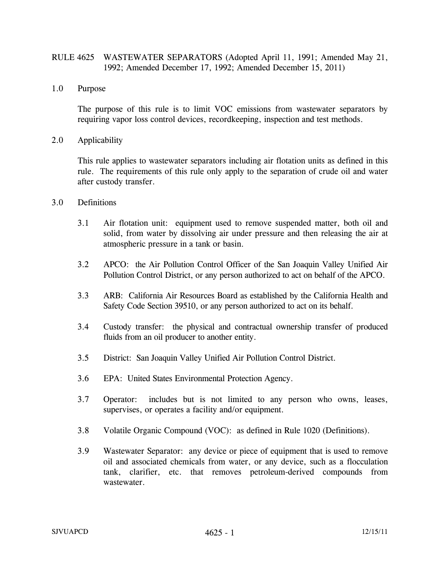## RULE 4625 WASTEWATER SEPARATORS (Adopted April 11, 1991; Amended May 21, 1992; Amended December 17, 1992; Amended December 15, 2011)

1.0 Purpose

 The purpose of this rule is to limit VOC emissions from wastewater separators by requiring vapor loss control devices, recordkeeping, inspection and test methods.

2.0 Applicability

 This rule applies to wastewater separators including air flotation units as defined in this rule. The requirements of this rule only apply to the separation of crude oil and water after custody transfer.

- 3.0 Definitions
	- 3.1 Air flotation unit: equipment used to remove suspended matter, both oil and solid, from water by dissolving air under pressure and then releasing the air at atmospheric pressure in a tank or basin.
	- 3.2 APCO: the Air Pollution Control Officer of the San Joaquin Valley Unified Air Pollution Control District, or any person authorized to act on behalf of the APCO.
	- 3.3 ARB: California Air Resources Board as established by the California Health and Safety Code Section 39510, or any person authorized to act on its behalf.
	- 3.4 Custody transfer: the physical and contractual ownership transfer of produced fluids from an oil producer to another entity.
	- 3.5 District: San Joaquin Valley Unified Air Pollution Control District.
	- 3.6 EPA: United States Environmental Protection Agency.
	- 3.7 Operator: includes but is not limited to any person who owns, leases, supervises, or operates a facility and/or equipment.
	- 3.8 Volatile Organic Compound (VOC): as defined in Rule 1020 (Definitions).
	- 3.9 Wastewater Separator: any device or piece of equipment that is used to remove oil and associated chemicals from water, or any device, such as a flocculation tank, clarifier, etc. that removes petroleum-derived compounds from wastewater.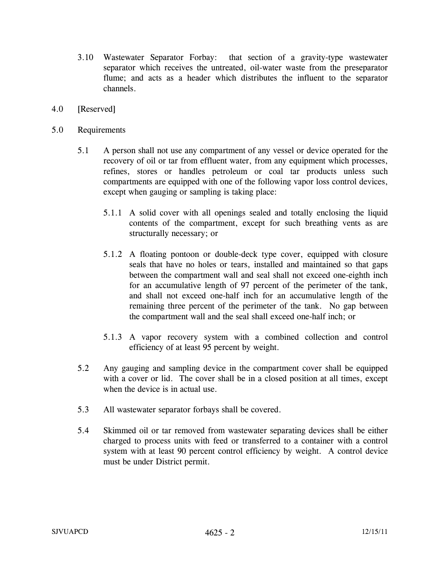- 3.10 Wastewater Separator Forbay: that section of a gravity-type wastewater separator which receives the untreated, oil-water waste from the preseparator flume; and acts as a header which distributes the influent to the separator channels.
- 4.0 [Reserved]
- 5.0 Requirements
	- 5.1 A person shall not use any compartment of any vessel or device operated for the recovery of oil or tar from effluent water, from any equipment which processes, refines, stores or handles petroleum or coal tar products unless such compartments are equipped with one of the following vapor loss control devices, except when gauging or sampling is taking place:
		- 5.1.1 A solid cover with all openings sealed and totally enclosing the liquid contents of the compartment, except for such breathing vents as are structurally necessary; or
		- 5.1.2 A floating pontoon or double-deck type cover, equipped with closure seals that have no holes or tears, installed and maintained so that gaps between the compartment wall and seal shall not exceed one-eighth inch for an accumulative length of 97 percent of the perimeter of the tank, and shall not exceed one-half inch for an accumulative length of the remaining three percent of the perimeter of the tank. No gap between the compartment wall and the seal shall exceed one-half inch; or
		- 5.1.3 A vapor recovery system with a combined collection and control efficiency of at least 95 percent by weight.
	- 5.2 Any gauging and sampling device in the compartment cover shall be equipped with a cover or lid. The cover shall be in a closed position at all times, except when the device is in actual use.
	- 5.3 All wastewater separator forbays shall be covered.
	- 5.4 Skimmed oil or tar removed from wastewater separating devices shall be either charged to process units with feed or transferred to a container with a control system with at least 90 percent control efficiency by weight. A control device must be under District permit.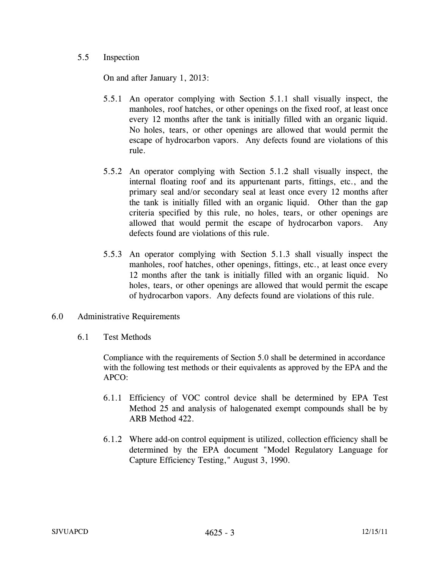## 5.5 Inspection

On and after January 1, 2013:

- 5.5.1 An operator complying with Section 5.1.1 shall visually inspect, the manholes, roof hatches, or other openings on the fixed roof, at least once every 12 months after the tank is initially filled with an organic liquid. No holes, tears, or other openings are allowed that would permit the escape of hydrocarbon vapors. Any defects found are violations of this rule.
- 5.5.2 An operator complying with Section 5.1.2 shall visually inspect, the internal floating roof and its appurtenant parts, fittings, etc., and the primary seal and/or secondary seal at least once every 12 months after the tank is initially filled with an organic liquid. Other than the gap criteria specified by this rule, no holes, tears, or other openings are allowed that would permit the escape of hydrocarbon vapors. Any defects found are violations of this rule.
- 5.5.3 An operator complying with Section 5.1.3 shall visually inspect the manholes, roof hatches, other openings, fittings, etc., at least once every 12 months after the tank is initially filled with an organic liquid. No holes, tears, or other openings are allowed that would permit the escape of hydrocarbon vapors. Any defects found are violations of this rule.
- 6.0 Administrative Requirements
	- 6.1 Test Methods

Compliance with the requirements of Section 5.0 shall be determined in accordance with the following test methods or their equivalents as approved by the EPA and the APCO:

- 6.1.1 Efficiency of VOC control device shall be determined by EPA Test Method 25 and analysis of halogenated exempt compounds shall be by ARB Method 422.
- 6.1.2 Where add-on control equipment is utilized, collection efficiency shall be determined by the EPA document "Model Regulatory Language for Capture Efficiency Testing," August 3, 1990.